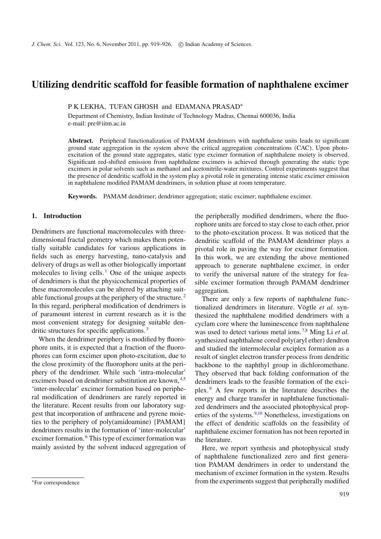# **Utilizing dendritic scaffold for feasible formation of naphthalene excimer**

P K LEKHA, TUFAN GHOSH and EDAMANA PRASAD<sup>\*</sup>

Department of Chemistry, Indian Institute of Technology Madras, Chennai 600036, India e-mail: pre@iitm.ac.in

**Abstract.** Peripheral functionalization of PAMAM dendrimers with naphthalene units leads to significant ground state aggregation in the system above the critical aggregation concentrations (CAC). Upon photoexcitation of the ground state aggregates, static type excimer formation of naphthalene moiety is observed. Significant red-shifted emission from naphthalene excimers is achieved through generating the static type excimers in polar solvents such as methanol and acetonitrile-water mixtures. Control experiments suggest that the presence of dendritic scaffold in the system play a pivotal role in generating intense static excimer emission in naphthalene modified PAMAM dendrimers, in solution phase at room temperature.

**Keywords.** PAMAM dendrimer; dendrimer aggregation; static excimer; naphthalene excimer.

#### **1. Introduction**

Dendrimers are functional macromolecules with threedimensional fractal geometry which makes them potentially suitable candidates for various applications in fields such as energy harvesting, nano-catalysis and delivery of drugs as well as other biologically important molecules to living cells.<sup>[1](#page-6-0)</sup> One of the unique aspects of dendrimers is that the physicochemical properties of these macromolecules can be altered by attaching suitable functional groups at the periphery of the structure. [2](#page-6-1) In this regard, peripheral modification of dendrimers is of paramount interest in current research as it is the most convenient strategy for designing suitable den-dritic structures for specific applications.<sup>[3](#page-6-2)</sup>

When the dendrimer periphery is modified by fluorophore units, it is expected that a fraction of the fluorophores can form excimer upon photo-excitation, due to the close proximity of the fluorophore units at the periphery of the dendrimer. While such 'intra-molecular' excimers based on dendrimer substitution are known, [4](#page-6-3)[,5](#page-6-4) 'inter-molecular' excimer formation based on peripheral modification of dendrimers are rarely reported in the literature. Recent results from our laboratory suggest that incorporation of anthracene and pyrene moieties to the periphery of poly(amidoamine) {PAMAM} dendrimers results in the formation of 'inter-molecular' excimer formation. [6](#page-6-5) This type of excimer formation was mainly assisted by the solvent induced aggregation of the peripherally modified dendrimers, where the fluorophore units are forced to stay close to each other, prior to the photo-excitation process. It was noticed that the dendritic scaffold of the PAMAM dendrimer plays a pivotal role in paving the way for excimer formation. In this work, we are extending the above mentioned approach to generate naphthalene excimer, in order to verify the universal nature of the strategy for feasible excimer formation through PAMAM dendrimer aggregation.

There are only a few reports of naphthalene functionalized dendrimers in literature. Vögtle *et al.* synthesized the naphthalene modified dendrimers with a cyclam core where the luminescence from naphthalene was used to detect various metal ions. [7](#page-6-6)[,8](#page-6-7) Ming Li *et al.* synthesized naphthalene cored poly(aryl ether) dendron and studied the intermolecular exciplex formation as a result of singlet electron transfer process from dendritic backbone to the naphthyl group in dichloromethane. They observed that back folding conformation of the dendrimers leads to the feasible formation of the exciplex. [9](#page-6-8) A few reports in the literature describes the energy and charge transfer in naphthalene functionalized dendrimers and the associated photophysical prop-erties of the systems.<sup>[9](#page-6-8)[,10](#page-6-9)</sup> Nonetheless, investigations on the effect of dendritic scaffolds on the feasibility of naphthalene excimer formation has not been reported in the literature.

Here, we report synthesis and photophysical study of naphthalene functionalized zero and first generation PAMAM dendrimers in order to understand the mechanism of excimer formation in the system. Results from the experiments suggest that peripherally modified

<sup>∗</sup>For correspondence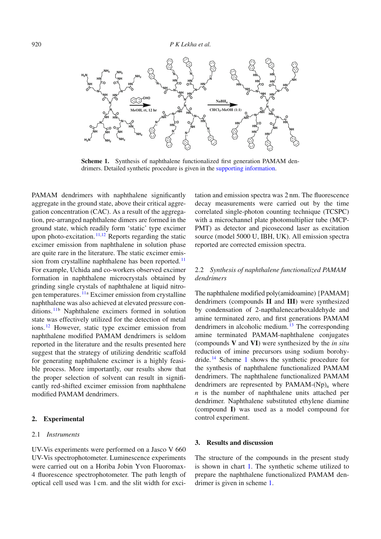<span id="page-1-0"></span>

**Scheme 1.** Synthesis of naphthalene functionalized first generation PAMAM dendrimers. Detailed synthetic procedure is given in the supporting information.

PAMAM dendrimers with naphthalene significantly aggregate in the ground state, above their critical aggregation concentration (CAC). As a result of the aggregation, pre-arranged naphthalene dimers are formed in the ground state, which readily form 'static' type excimer upon photo-excitation.  $11,12$  $11,12$  Reports regarding the static excimer emission from naphthalene in solution phase are quite rare in the literature. The static excimer emis-sion from crystalline naphthalene has been reported.<sup>[11](#page-7-0)</sup> For example, Uchida and co-workers observed excimer formation in naphthalene microcrystals obtained by grinding single crystals of naphthalene at liquid nitro-gen temperatures. <sup>[11](#page-7-0)a</sup> Excimer emission from crystalline naphthalene was also achieved at elevated pressure conditions. [11](#page-7-0)b Naphthalene excimers formed in solution state was effectively utilized for the detection of metal ions. [12](#page-7-1) However, static type excimer emission from naphthalene modified PAMAM dendrimers is seldom reported in the literature and the results presented here suggest that the strategy of utilizing dendritic scaffold for generating naphthalene excimer is a highly feasible process. More importantly, our results show that the proper selection of solvent can result in significantly red-shifted excimer emission from naphthalene modified PAMAM dendrimers.

#### **2. Experimental**

#### 2.1 *Instruments*

UV-Vis experiments were performed on a Jasco V 660 UV-Vis spectrophotometer. Luminescence experiments were carried out on a Horiba Jobin Yvon Fluoromax-4 fluorescence spectrophotometer. The path length of optical cell used was 1 cm. and the slit width for exci-

tation and emission spectra was 2 nm. The fluorescence decay measurements were carried out by the time correlated single-photon counting technique (TCSPC) with a microchannel plate photomultiplier tube (MCP-PMT) as detector and picosecond laser as excitation source (model 5000 U, IBH, UK). All emission spectra reported are corrected emission spectra.

# 2.2 *Synthesis of naphthalene functionalized PAMAM dendrimers*

The naphthalene modified poly(amidoamine) {PAMAM} dendrimers (compounds **II** and **III**) were synthesized by condensation of 2-napthalenecarboxaldehyde and amine terminated zero, and first generations PAMAM dendrimers in alcoholic medium.  $\frac{13}{12}$  $\frac{13}{12}$  $\frac{13}{12}$  The corresponding amine terminated PAMAM-naphthalene conjugates (compounds **V** and **VI**) were synthesized by the *in situ* reduction of imine precursors using sodium borohydride. [14](#page-7-3) Scheme [1](#page-1-0) shows the synthetic procedure for the synthesis of naphthalene functionalized PAMAM dendrimers. The naphthalene functionalized PAMAM dendrimers are represented by  $PAMAM-(Np)$ <sub>n</sub> where *n* is the number of naphthalene units attached per dendrimer. Naphthalene substituted ethylene diamine (compound **I)** was used as a model compound for control experiment.

#### **3. Results and discussion**

The structure of the compounds in the present study is shown in chart [1.](#page-2-0) The synthetic scheme utilized to prepare the naphthalene functionalized PAMAM dendrimer is given in scheme [1.](#page-1-0)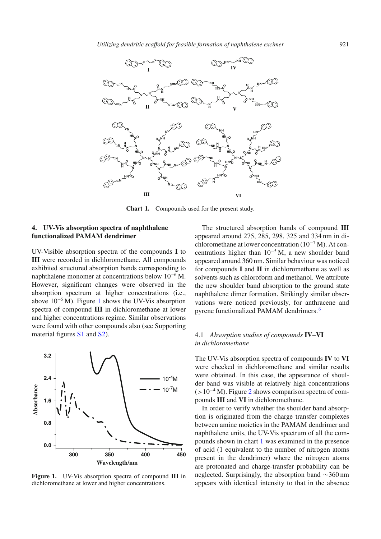<span id="page-2-0"></span>

**Chart 1.** Compounds used for the present study.

# **4. UV-Vis absorption spectra of naphthalene functionalized PAMAM dendrimer**

UV-Visible absorption spectra of the compounds **I** to **III** were recorded in dichloromethane. All compounds exhibited structured absorption bands corresponding to naphthalene monomer at concentrations below 10<sup>−</sup><sup>6</sup> M. However, significant changes were observed in the absorption spectrum at higher concentrations (i.e., above 10<sup>−</sup><sup>5</sup> M). Figure [1](#page-2-1) shows the UV-Vis absorption spectra of compound **III** in dichloromethane at lower and higher concentrations regime. Similar observations were found with other compounds also (see Supporting material figures S1 and S2).

<span id="page-2-1"></span>

**Figure 1.** UV-Vis absorption spectra of compound **III** in dichloromethane at lower and higher concentrations.

The structured absorption bands of compound **III** appeared around 275, 285, 298, 325 and 334 nm in dichloromethane at lower concentration  $(10^{-7} M)$ . At concentrations higher than  $10^{-5}$  M, a new shoulder band appeared around 360 nm. Similar behaviour was noticed for compounds **I** and **II** in dichloromethane as well as solvents such as chloroform and methanol. We attribute the new shoulder band absorption to the ground state naphthalene dimer formation. Strikingly similar observations were noticed previously, for anthracene and pyrene functionalized PAMAM dendrimers. [6](#page-6-5)

# 4.1 *Absorption studies of compounds* **IV***–***VI** *in dichloromethane*

The UV-Vis absorption spectra of compounds **IV** to **VI** were checked in dichloromethane and similar results were obtained. In this case, the appearance of shoulder band was visible at relatively high concentrations  $(>10^{-4} M)$ . Figure [2](#page-3-0) shows comparison spectra of compounds **III** and **VI** in dichloromethane.

In order to verify whether the shoulder band absorption is originated from the charge transfer complexes between amine moieties in the PAMAM dendrimer and naphthalene units, the UV-Vis spectrum of all the compounds shown in chart [1](#page-2-0) was examined in the presence of acid (1 equivalent to the number of nitrogen atoms present in the dendrimer) where the nitrogen atoms are protonated and charge-transfer probability can be neglected. Surprisingly, the absorption band ∼360 nm appears with identical intensity to that in the absence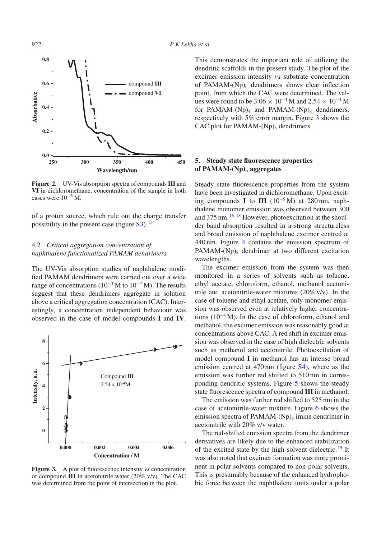<span id="page-3-0"></span>

**Figure 2.** UV-Vis absorption spectra of compounds **III** and **VI** in dichloromethane, concentration of the sample in both cases were  $10^{-5}$  M.

of a proton source, which rule out the charge transfer possibility in the present case (figure  $S3$ ). <sup>[15](#page-7-4)</sup>

### 4.2 *Critical aggregation concentration of naphthalene functionalized PAMAM dendrimers*

The UV-Vis absorption studies of naphthalene modified PAMAM dendrimers were carried out over a wide range of concentrations ( $10^{-3}$  M to  $10^{-7}$  M). The results suggest that these dendrimers aggregate in solution above a critical aggregation concentration (CAC). Interestingly, a concentration independent behaviour was observed in the case of model compounds **I** and **IV**.

<span id="page-3-1"></span>

**Figure 3.** A plot of fluorescence intensity *vs* concentration of compound **III** in acetonitrile:water (20% v/v). The CAC was determined from the point of intersection in the plot.

This demonstrates the important role of utilizing the dendritic scaffolds in the present study. The plot of the excimer emission intensity *vs* substrate concentration of PAMAM- $(Np)$ <sub>n</sub> dendrimers shows clear inflection point, from which the CAC were determined. The values were found to be  $3.06 \times 10^{-4}$  M and  $2.54 \times 10^{-4}$  M for PAMAM- $(Np)_{4}$  and PAMAM- $(Np)_{8}$  dendrimers, respectively with 5% error margin. Figure [3](#page-3-1) shows the CAC plot for PAMAM- $(Np)$ <sub>8</sub> dendrimers.

# **5. Steady state fluorescence properties of PAMAM-(Np)n aggregates**

Steady state fluorescence properties from the system have been investigated in dichloromethane. Upon exciting compounds **I** to **III**  $(10^{-5} \text{M})$  at 280 nm, naphthalene monomer emission was observed between 300 and  $375 \text{ nm}$ .  $16-18$  $16-18$  However, photoexcitation at the shoulder band absorption resulted in a strong structureless and broad emission of naphthalene excimer centred at 440 nm. Figure [4](#page-4-0) contains the emission spectrum of  $PAMAM-(Np)_{8}$  dendrimer at two different excitation wavelengths.

The excimer emission from the system was then monitored in a series of solvents such as toluene, ethyl acetate, chloroform, ethanol, methanol acetonitrile and acetonitrile-water mixtures (20% v/v). In the case of toluene and ethyl acetate, only monomer emission was observed even at relatively higher concentrations  $(10^{-4} M)$ . In the case of chloroform, ethanol and methanol, the excimer emission was reasonably good at concentrations above CAC. A red shift in excimer emission was observed in the case of high dielectric solvents such as methanol and acetonitrile. Photoexcitation of model compound **I** in methanol has an intense broad emission centred at 470 nm (figure S4), where as the emission was further red shifted to 510 nm in corresponding dendritic systems. Figure [5](#page-4-1) shows the steady state fluorescence spectra of compound **III** in methanol.

The emission was further red shifted to 525 nm in the case of acetonitrile-water mixture. Figure [6](#page-4-2) shows the emission spectra of PAMAM- $(Np)$ <sub>8</sub> imine dendrimer in acetonitrile with 20% v/v water.

The red-shifted emission spectra from the dendrimer derivatives are likely due to the enhanced stabilization of the excited state by the high solvent dielectric. [19](#page-7-7) It was also noted that excimer formation was more prominent in polar solvents compared to non-polar solvents. This is presumably because of the enhanced hydrophobic force between the naphthalene units under a polar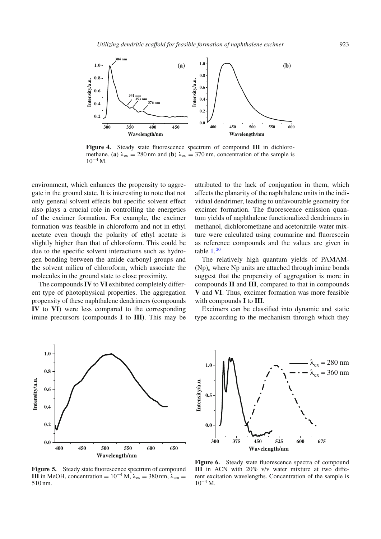<span id="page-4-0"></span>

**Figure 4.** Steady state fluorescence spectrum of compound **III** in dichloromethane. (**a**)  $\lambda_{ex} = 280$  nm and (**b**)  $\lambda_{ex} = 370$  nm, concentration of the sample is  $10^{-4}$  M.

environment, which enhances the propensity to aggregate in the ground state. It is interesting to note that not only general solvent effects but specific solvent effect also plays a crucial role in controlling the energetics of the excimer formation. For example, the excimer formation was feasible in chloroform and not in ethyl acetate even though the polarity of ethyl acetate is slightly higher than that of chloroform. This could be due to the specific solvent interactions such as hydrogen bonding between the amide carbonyl groups and the solvent milieu of chloroform, which associate the molecules in the ground state to close proximity.

The compounds**IV** to **VI** exhibited completely different type of photophysical properties. The aggregation propensity of these naphthalene dendrimers (compounds **IV** to **VI**) were less compared to the corresponding imine precursors (compounds **I** to **III)**. This may be attributed to the lack of conjugation in them, which affects the planarity of the naphthalene units in the individual dendrimer, leading to unfavourable geometry for excimer formation. The fluorescence emission quantum yields of naphthalene functionalized dendrimers in methanol, dichloromethane and acetonitrile-water mixture were calculated using coumarine and fluorescein as reference compounds and the values are given in table  $1<sup>20</sup>$  $1<sup>20</sup>$  $1<sup>20</sup>$ 

The relatively high quantum yields of PAMAM-  $(Np)$ <sub>n</sub> where Np units are attached through imine bonds suggest that the propensity of aggregation is more in compounds **II** and **III**, compared to that in compounds **V** and **VI**. Thus, excimer formation was more feasible with compounds **I** to **III**.

Excimers can be classified into dynamic and static type according to the mechanism through which they

<span id="page-4-1"></span>

<span id="page-4-2"></span>

**Figure 5.** Steady state fluorescence spectrum of compound **III** in MeOH, concentration =  $10^{-4}$  M,  $\lambda_{ex} = 380$  nm,  $\lambda_{em} =$ 510 nm.

**Figure 6.** Steady state fluorescence spectra of compound **III** in ACN with 20% v/v water mixture at two different excitation wavelengths. Concentration of the sample is  $10^{-4}$  M.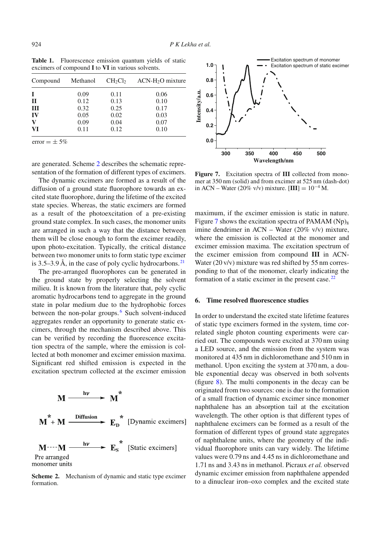| Methanol | $CH_2Cl_2$ | $ACN-H2O$ mixture |
|----------|------------|-------------------|
| 0.09     | 0.11       | 0.06              |
| 0.12     | 0.13       | 0.10              |
| 0.32     | 0.25       | 0.17              |
| 0.05     | 0.02       | 0.03              |
|          |            | 0.07              |
| 0.11     | 0.12       | 0.10              |
|          | 0.09       | 0.04              |

<span id="page-5-0"></span>Table 1. Fluorescence emission quantum yields of static excimers of compound **I** to **VI** in various solvents.

error  $= \pm 5\%$ 

are generated. Scheme [2](#page-5-1) describes the schematic representation of the formation of different types of excimers.

The dynamic excimers are formed as a result of the diffusion of a ground state fluorophore towards an excited state fluorophore, during the lifetime of the excited state species. Whereas, the static excimers are formed as a result of the photoexcitation of a pre-existing ground state complex. In such cases, the monomer units are arranged in such a way that the distance between them will be close enough to form the excimer readily, upon photo-excitation. Typically, the critical distance between two monomer units to form static type excimer is 3.5–3.9 Å, in the case of poly cyclic hydrocarbons.<sup>[21](#page-7-9)</sup>

The pre-arranged fluorophores can be generated in the ground state by properly selecting the solvent milieu. It is known from the literature that, poly cyclic aromatic hydrocarbons tend to aggregate in the ground state in polar medium due to the hydrophobic forces between the non-polar groups.<sup>[6](#page-6-5)</sup> Such solvent-induced aggregates render an opportunity to generate static excimers, through the mechanism described above. This can be verified by recording the fluorescence excitation spectra of the sample, where the emission is collected at both monomer and excimer emission maxima. Significant red shifted emission is expected in the excitation spectrum collected at the excimer emission

<span id="page-5-1"></span>

**Scheme 2.** Mechanism of dynamic and static type excimer formation.

<span id="page-5-2"></span>

**Figure 7.** Excitation spectra of **III** collected from monomer at 350 nm (solid) and from excimer at 525 nm (dash-dot) in ACN – Water (20% v/v) mixture. [**III**] = 10−<sup>4</sup> M.

maximum, if the excimer emission is static in nature. Figure [7](#page-5-2) shows the excitation spectra of PAMAM  $(Np)_8$ imine dendrimer in ACN – Water (20% v/v) mixture, where the emission is collected at the monomer and excimer emission maxima. The excitation spectrum of the excimer emission from compound **III** in ACN-Water (20 v/v) mixture was red shifted by 55 nm corresponding to that of the monomer, clearly indicating the formation of a static excimer in the present case.  $22$ 

# **6. Time resolved fluorescence studies**

In order to understand the excited state lifetime features of static type excimers formed in the system, time correlated single photon counting experiments were carried out. The compounds were excited at 370 nm using a LED source, and the emission from the system was monitored at 435 nm in dichloromethane and 510 nm in methanol. Upon exciting the system at 370 nm, a double exponential decay was observed in both solvents (figure [8\)](#page-6-10). The multi components in the decay can be originated from two sources: one is due to the formation of a small fraction of dynamic excimer since monomer naphthalene has an absorption tail at the excitation wavelength. The other option is that different types of naphthalene excimers can be formed as a result of the formation of different types of ground state aggregates of naphthalene units, where the geometry of the individual fluorophore units can vary widely. The lifetime values were 0.79 ns and 4.45 ns in dichloromethane and 1.71 ns and 3.43 ns in methanol. Picraux *et al.* observed dynamic excimer emission from naphthalene appended to a dinuclear iron–oxo complex and the excited state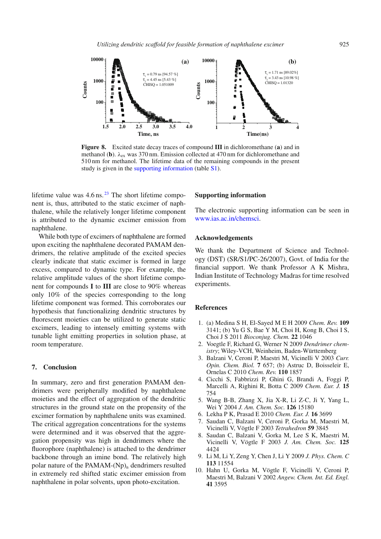<span id="page-6-10"></span>

**Figure 8.** Excited state decay traces of compound **III** in dichloromethane (**a**) and in methanol (**b**).  $\lambda_{ex}$  was 370 nm. Emission collected at 470 nm for dichloromethane and 510 nm for methanol. The lifetime data of the remaining compounds in the present study is given in the supporting information (table S1).

lifetime value was  $4.6 \text{ ns.}^{23}$  $4.6 \text{ ns.}^{23}$  $4.6 \text{ ns.}^{23}$  The short lifetime component is, thus, attributed to the static excimer of naphthalene, while the relatively longer lifetime component is attributed to the dynamic excimer emission from naphthalene.

While both type of excimers of naphthalene are formed upon exciting the naphthalene decorated PAMAM dendrimers, the relative amplitude of the excited species clearly indicate that static excimer is formed in large excess, compared to dynamic type. For example, the relative amplitude values of the short lifetime component for compounds **I** to **III** are close to 90% whereas only 10% of the species corresponding to the long lifetime component was formed. This corroborates our hypothesis that functionalizing dendritic structures by fluorescent moieties can be utilized to generate static excimers, leading to intensely emitting systems with tunable light emitting properties in solution phase, at room temperature.

# **7. Conclusion**

In summary, zero and first generation PAMAM dendrimers were peripherally modified by naphthalene moieties and the effect of aggregation of the dendritic structures in the ground state on the propensity of the excimer formation by naphthalene units was examined. The critical aggregation concentrations for the systems were determined and it was observed that the aggregation propensity was high in dendrimers where the fluorophore (naphthalene) is attached to the dendrimer backbone through an imine bond. The relatively high polar nature of the PAMAM- $(Np)$ <sub>n</sub> dendrimers resulted in extremely red shifted static excimer emission from naphthalene in polar solvents, upon photo-excitation.

# **Supporting information**

The electronic supporting information can be seen in [www.ias.ac.in/chemsci.](http://www.ias.ac.in/chemsci)

#### **Acknowledgements**

We thank the Department of Science and Technology (DST) (SR/S1/PC-26/2007), Govt. of India for the financial support. We thank Professor A K Mishra, Indian Institute of Technology Madras for time resolved experiments.

#### **References**

- <span id="page-6-0"></span>1. (a) Medina S H, El-Sayed M E H 2009 *Chem. Rev.* **109** 3141; (b) Yu G S, Bae Y M, Choi H, Kong B, Choi I S, Choi J S 2011 *Bioconjug. Chem.* **22** 1046
- <span id="page-6-1"></span>2. Voegtle F, Richard G, Werner N 2009 *Dendrimer chemistry*; Wiley-VCH, Weinheim, Baden-Württemberg
- <span id="page-6-2"></span>3. Balzani V, Ceroni P, Maestri M, Vicinelli V 2003 *Curr. Opin. Chem. Biol.* **7** 657; (b) Astruc D, Boisseleir E, Ornelas C 2010 *Chem. Rev.* **110** 1857
- <span id="page-6-3"></span>4. Cicchi S, Fabbrizzi P, Ghini G, Brandi A, Foggi P, Marcelli A, Righini R, Botta C 2009 *Chem. Eur. J.* **15** 754
- <span id="page-6-4"></span>5. Wang B-B, Zhang X, Jia X-R, Li Z-C, Ji Y, Yang L, Wei Y 2004 *J. Am. Chem. Soc.* **126** 15180
- <span id="page-6-5"></span>6. Lekha P K, Prasad E 2010 *Chem. Eur. J.* **16** 3699
- <span id="page-6-6"></span>7. Saudan C, Balzani V, Ceroni P, Gorka M, Maestri M, Vicinelli V, Vögtle F 2003 *Tetrahedron* **59** 3845
- <span id="page-6-7"></span>8. Saudan C, Balzani V, Gorka M, Lee S K, Maestri M, Vicinelli V, Vögtle F 2003 *J. Am. Chem. Soc.* **125** 4424
- <span id="page-6-8"></span>9. Li M, Li Y, Zeng Y, Chen J, Li Y 2009 *J. Phys. Chem. C* **113** 11554
- <span id="page-6-9"></span>10. Hahn U, Gorka M, Vögtle F, Vicinelli V, Ceroni P, Maestri M, Balzani V 2002 *Angew. Chem. Int. Ed. Engl.* **41** 3595